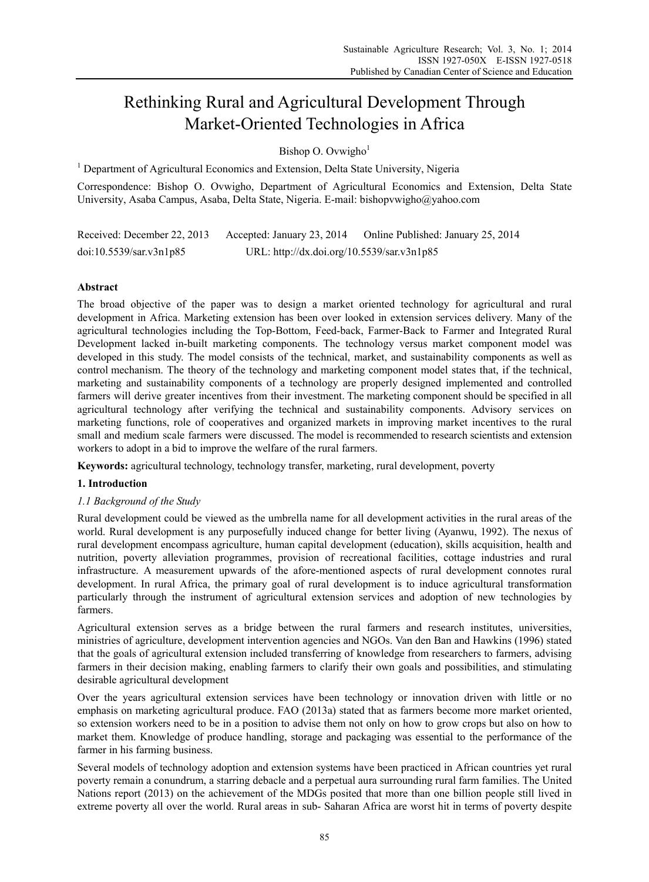# Rethinking Rural and Agricultural Development Through Market-Oriented Technologies in Africa

Bishop O. Ovwigho $<sup>1</sup>$ </sup>

<sup>1</sup> Department of Agricultural Economics and Extension, Delta State University, Nigeria

Correspondence: Bishop O. Ovwigho, Department of Agricultural Economics and Extension, Delta State University, Asaba Campus, Asaba, Delta State, Nigeria. E-mail: bishopvwigho@yahoo.com

Received: December 22, 2013 Accepted: January 23, 2014 Online Published: January 25, 2014 doi:10.5539/sar.v3n1p85 URL: http://dx.doi.org/10.5539/sar.v3n1p85

# **Abstract**

The broad objective of the paper was to design a market oriented technology for agricultural and rural development in Africa. Marketing extension has been over looked in extension services delivery. Many of the agricultural technologies including the Top-Bottom, Feed-back, Farmer-Back to Farmer and Integrated Rural Development lacked in-built marketing components. The technology versus market component model was developed in this study. The model consists of the technical, market, and sustainability components as well as control mechanism. The theory of the technology and marketing component model states that, if the technical, marketing and sustainability components of a technology are properly designed implemented and controlled farmers will derive greater incentives from their investment. The marketing component should be specified in all agricultural technology after verifying the technical and sustainability components. Advisory services on marketing functions, role of cooperatives and organized markets in improving market incentives to the rural small and medium scale farmers were discussed. The model is recommended to research scientists and extension workers to adopt in a bid to improve the welfare of the rural farmers.

**Keywords:** agricultural technology, technology transfer, marketing, rural development, poverty

# **1. Introduction**

# *1.1 Background of the Study*

Rural development could be viewed as the umbrella name for all development activities in the rural areas of the world. Rural development is any purposefully induced change for better living (Ayanwu, 1992). The nexus of rural development encompass agriculture, human capital development (education), skills acquisition, health and nutrition, poverty alleviation programmes, provision of recreational facilities, cottage industries and rural infrastructure. A measurement upwards of the afore-mentioned aspects of rural development connotes rural development. In rural Africa, the primary goal of rural development is to induce agricultural transformation particularly through the instrument of agricultural extension services and adoption of new technologies by farmers.

Agricultural extension serves as a bridge between the rural farmers and research institutes, universities, ministries of agriculture, development intervention agencies and NGOs. Van den Ban and Hawkins (1996) stated that the goals of agricultural extension included transferring of knowledge from researchers to farmers, advising farmers in their decision making, enabling farmers to clarify their own goals and possibilities, and stimulating desirable agricultural development

Over the years agricultural extension services have been technology or innovation driven with little or no emphasis on marketing agricultural produce. FAO (2013a) stated that as farmers become more market oriented, so extension workers need to be in a position to advise them not only on how to grow crops but also on how to market them. Knowledge of produce handling, storage and packaging was essential to the performance of the farmer in his farming business.

Several models of technology adoption and extension systems have been practiced in African countries yet rural poverty remain a conundrum, a starring debacle and a perpetual aura surrounding rural farm families. The United Nations report (2013) on the achievement of the MDGs posited that more than one billion people still lived in extreme poverty all over the world. Rural areas in sub- Saharan Africa are worst hit in terms of poverty despite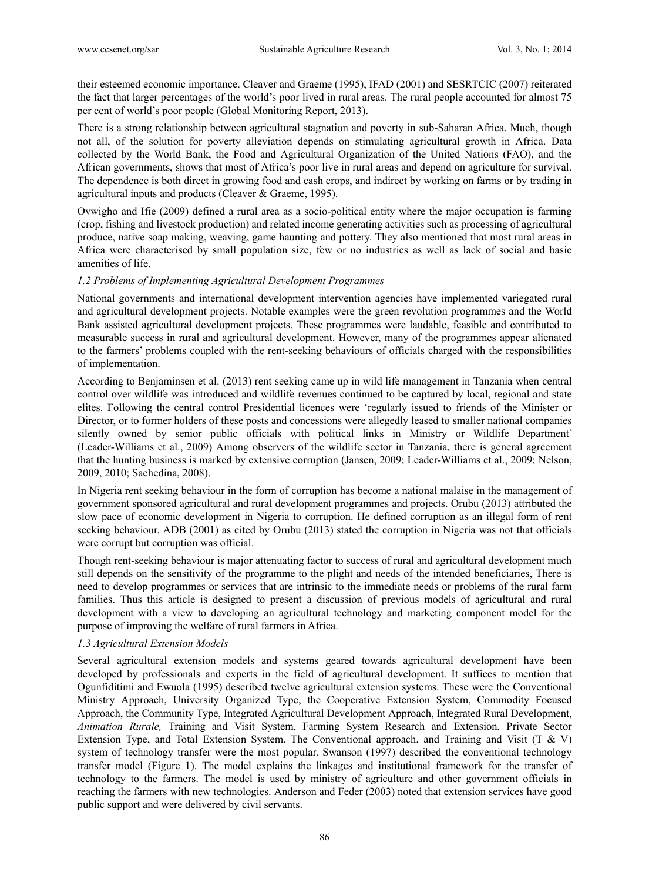their esteemed economic importance. Cleaver and Graeme (1995), IFAD (2001) and SESRTCIC (2007) reiterated the fact that larger percentages of the world's poor lived in rural areas. The rural people accounted for almost 75 per cent of world's poor people (Global Monitoring Report, 2013).

There is a strong relationship between agricultural stagnation and poverty in sub-Saharan Africa. Much, though not all, of the solution for poverty alleviation depends on stimulating agricultural growth in Africa. Data collected by the World Bank, the Food and Agricultural Organization of the United Nations (FAO), and the African governments, shows that most of Africa's poor live in rural areas and depend on agriculture for survival. The dependence is both direct in growing food and cash crops, and indirect by working on farms or by trading in agricultural inputs and products (Cleaver & Graeme, 1995).

Ovwigho and Ifie (2009) defined a rural area as a socio-political entity where the major occupation is farming (crop, fishing and livestock production) and related income generating activities such as processing of agricultural produce, native soap making, weaving, game haunting and pottery. They also mentioned that most rural areas in Africa were characterised by small population size, few or no industries as well as lack of social and basic amenities of life.

## *1.2 Problems of Implementing Agricultural Development Programmes*

National governments and international development intervention agencies have implemented variegated rural and agricultural development projects. Notable examples were the green revolution programmes and the World Bank assisted agricultural development projects. These programmes were laudable, feasible and contributed to measurable success in rural and agricultural development. However, many of the programmes appear alienated to the farmers' problems coupled with the rent-seeking behaviours of officials charged with the responsibilities of implementation.

According to Benjaminsen et al. (2013) rent seeking came up in wild life management in Tanzania when central control over wildlife was introduced and wildlife revenues continued to be captured by local, regional and state elites. Following the central control Presidential licences were 'regularly issued to friends of the Minister or Director, or to former holders of these posts and concessions were allegedly leased to smaller national companies silently owned by senior public officials with political links in Ministry or Wildlife Department' (Leader-Williams et al., 2009) Among observers of the wildlife sector in Tanzania, there is general agreement that the hunting business is marked by extensive corruption (Jansen, 2009; Leader-Williams et al., 2009; Nelson, 2009, 2010; Sachedina, 2008).

In Nigeria rent seeking behaviour in the form of corruption has become a national malaise in the management of government sponsored agricultural and rural development programmes and projects. Orubu (2013) attributed the slow pace of economic development in Nigeria to corruption. He defined corruption as an illegal form of rent seeking behaviour. ADB (2001) as cited by Orubu (2013) stated the corruption in Nigeria was not that officials were corrupt but corruption was official.

Though rent-seeking behaviour is major attenuating factor to success of rural and agricultural development much still depends on the sensitivity of the programme to the plight and needs of the intended beneficiaries, There is need to develop programmes or services that are intrinsic to the immediate needs or problems of the rural farm families. Thus this article is designed to present a discussion of previous models of agricultural and rural development with a view to developing an agricultural technology and marketing component model for the purpose of improving the welfare of rural farmers in Africa.

# *1.3 Agricultural Extension Models*

Several agricultural extension models and systems geared towards agricultural development have been developed by professionals and experts in the field of agricultural development. It suffices to mention that Ogunfiditimi and Ewuola (1995) described twelve agricultural extension systems. These were the Conventional Ministry Approach, University Organized Type, the Cooperative Extension System, Commodity Focused Approach, the Community Type, Integrated Agricultural Development Approach, Integrated Rural Development, *Animation Rurale,* Training and Visit System, Farming System Research and Extension, Private Sector Extension Type, and Total Extension System. The Conventional approach, and Training and Visit (T & V) system of technology transfer were the most popular. Swanson (1997) described the conventional technology transfer model (Figure 1). The model explains the linkages and institutional framework for the transfer of technology to the farmers. The model is used by ministry of agriculture and other government officials in reaching the farmers with new technologies. Anderson and Feder (2003) noted that extension services have good public support and were delivered by civil servants.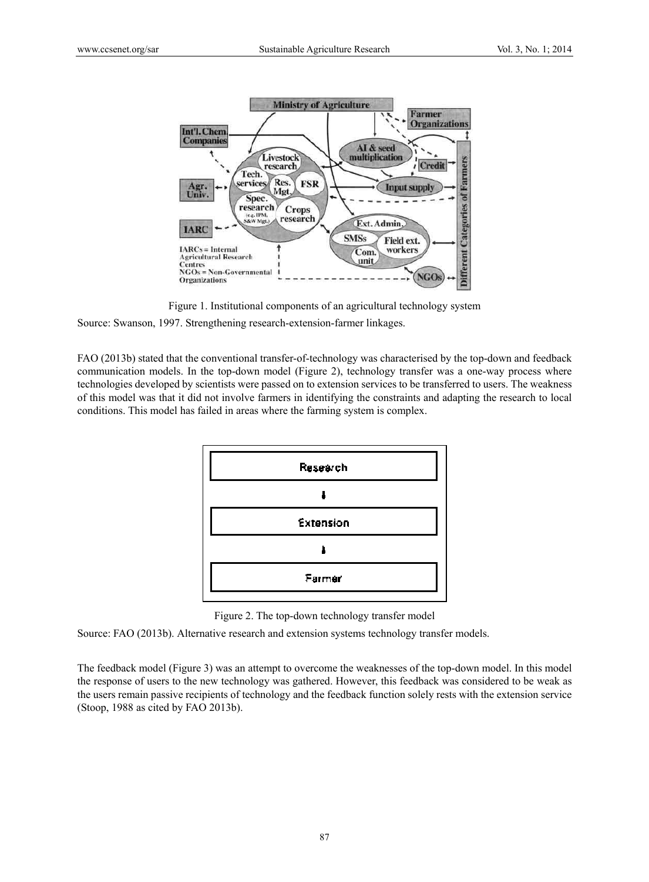

Figure 1. Institutional components of an agricultural technology system Source: Swanson, 1997. Strengthening research-extension-farmer linkages.

FAO (2013b) stated that the conventional transfer-of-technology was characterised by the top-down and feedback communication models. In the top-down model (Figure 2), technology transfer was a one-way process where technologies developed by scientists were passed on to extension services to be transferred to users. The weakness of this model was that it did not involve farmers in identifying the constraints and adapting the research to local conditions. This model has failed in areas where the farming system is complex.





Source: FAO (2013b). Alternative research and extension systems technology transfer models.

The feedback model (Figure 3) was an attempt to overcome the weaknesses of the top-down model. In this model the response of users to the new technology was gathered. However, this feedback was considered to be weak as the users remain passive recipients of technology and the feedback function solely rests with the extension service (Stoop, 1988 as cited by FAO 2013b).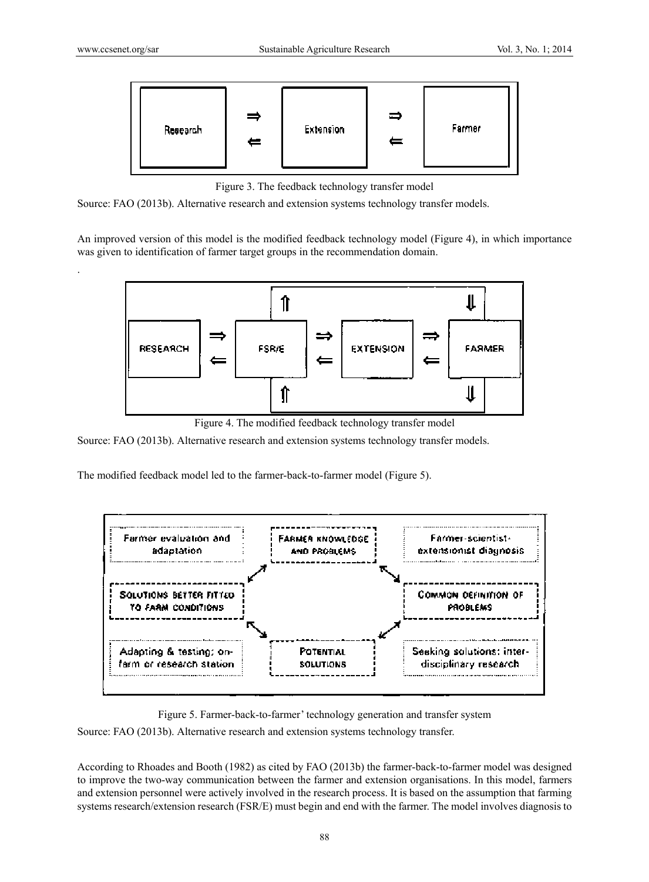.



Figure 3. The feedback technology transfer model

Source: FAO (2013b). Alternative research and extension systems technology transfer models.

An improved version of this model is the modified feedback technology model (Figure 4), in which importance was given to identification of farmer target groups in the recommendation domain.



Figure 4. The modified feedback technology transfer model

Source: FAO (2013b). Alternative research and extension systems technology transfer models.

The modified feedback model led to the farmer-back-to-farmer model (Figure 5).



Figure 5. Farmer-back-to-farmer' technology generation and transfer system

Source: FAO (2013b). Alternative research and extension systems technology transfer.

According to Rhoades and Booth (1982) as cited by FAO (2013b) the farmer-back-to-farmer model was designed to improve the two-way communication between the farmer and extension organisations. In this model, farmers and extension personnel were actively involved in the research process. It is based on the assumption that farming systems research/extension research (FSR/E) must begin and end with the farmer. The model involves diagnosis to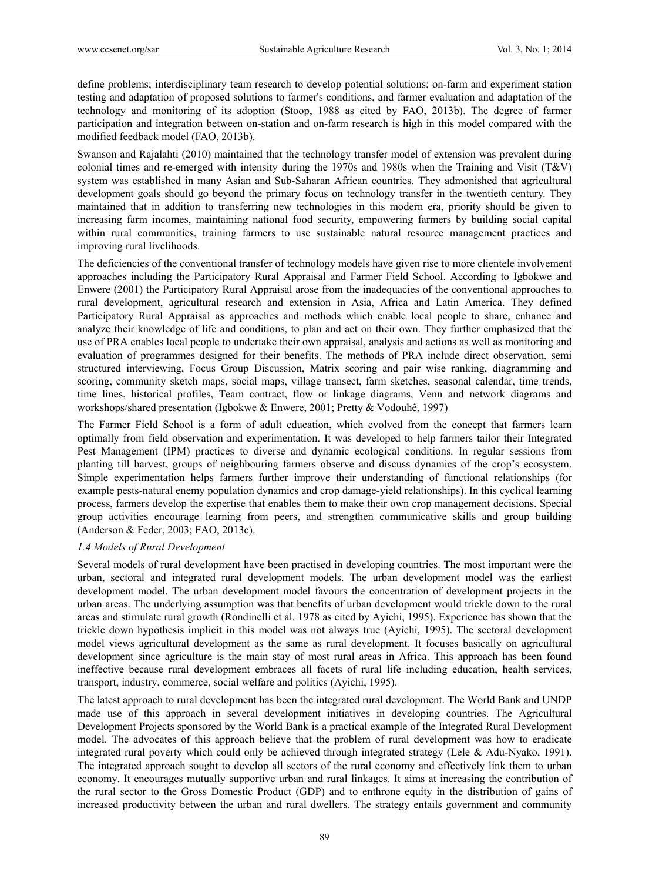define problems; interdisciplinary team research to develop potential solutions; on-farm and experiment station testing and adaptation of proposed solutions to farmer's conditions, and farmer evaluation and adaptation of the technology and monitoring of its adoption (Stoop, 1988 as cited by FAO, 2013b). The degree of farmer participation and integration between on-station and on-farm research is high in this model compared with the modified feedback model (FAO, 2013b).

Swanson and Rajalahti (2010) maintained that the technology transfer model of extension was prevalent during colonial times and re-emerged with intensity during the 1970s and 1980s when the Training and Visit (T&V) system was established in many Asian and Sub-Saharan African countries. They admonished that agricultural development goals should go beyond the primary focus on technology transfer in the twentieth century. They maintained that in addition to transferring new technologies in this modern era, priority should be given to increasing farm incomes, maintaining national food security, empowering farmers by building social capital within rural communities, training farmers to use sustainable natural resource management practices and improving rural livelihoods.

The deficiencies of the conventional transfer of technology models have given rise to more clientele involvement approaches including the Participatory Rural Appraisal and Farmer Field School. According to Igbokwe and Enwere (2001) the Participatory Rural Appraisal arose from the inadequacies of the conventional approaches to rural development, agricultural research and extension in Asia, Africa and Latin America. They defined Participatory Rural Appraisal as approaches and methods which enable local people to share, enhance and analyze their knowledge of life and conditions, to plan and act on their own. They further emphasized that the use of PRA enables local people to undertake their own appraisal, analysis and actions as well as monitoring and evaluation of programmes designed for their benefits. The methods of PRA include direct observation, semi structured interviewing, Focus Group Discussion, Matrix scoring and pair wise ranking, diagramming and scoring, community sketch maps, social maps, village transect, farm sketches, seasonal calendar, time trends, time lines, historical profiles, Team contract, flow or linkage diagrams, Venn and network diagrams and workshops/shared presentation (Igbokwe & Enwere, 2001; Pretty & Vodouhê, 1997)

The Farmer Field School is a form of adult education, which evolved from the concept that farmers learn optimally from field observation and experimentation. It was developed to help farmers tailor their Integrated Pest Management (IPM) practices to diverse and dynamic ecological conditions. In regular sessions from planting till harvest, groups of neighbouring farmers observe and discuss dynamics of the crop's ecosystem. Simple experimentation helps farmers further improve their understanding of functional relationships (for example pests-natural enemy population dynamics and crop damage-yield relationships). In this cyclical learning process, farmers develop the expertise that enables them to make their own crop management decisions. Special group activities encourage learning from peers, and strengthen communicative skills and group building (Anderson & Feder, 2003; FAO, 2013c).

# *1.4 Models of Rural Development*

Several models of rural development have been practised in developing countries. The most important were the urban, sectoral and integrated rural development models. The urban development model was the earliest development model. The urban development model favours the concentration of development projects in the urban areas. The underlying assumption was that benefits of urban development would trickle down to the rural areas and stimulate rural growth (Rondinelli et al. 1978 as cited by Ayichi, 1995). Experience has shown that the trickle down hypothesis implicit in this model was not always true (Ayichi, 1995). The sectoral development model views agricultural development as the same as rural development. It focuses basically on agricultural development since agriculture is the main stay of most rural areas in Africa. This approach has been found ineffective because rural development embraces all facets of rural life including education, health services, transport, industry, commerce, social welfare and politics (Ayichi, 1995).

The latest approach to rural development has been the integrated rural development. The World Bank and UNDP made use of this approach in several development initiatives in developing countries. The Agricultural Development Projects sponsored by the World Bank is a practical example of the Integrated Rural Development model. The advocates of this approach believe that the problem of rural development was how to eradicate integrated rural poverty which could only be achieved through integrated strategy (Lele & Adu-Nyako, 1991). The integrated approach sought to develop all sectors of the rural economy and effectively link them to urban economy. It encourages mutually supportive urban and rural linkages. It aims at increasing the contribution of the rural sector to the Gross Domestic Product (GDP) and to enthrone equity in the distribution of gains of increased productivity between the urban and rural dwellers. The strategy entails government and community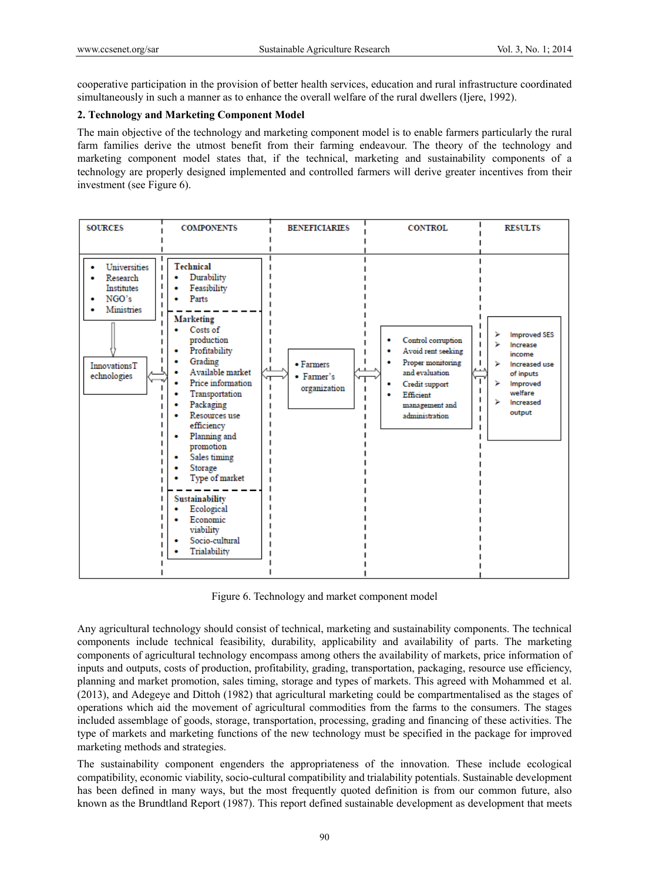cooperative participation in the provision of better health services, education and rural infrastructure coordinated simultaneously in such a manner as to enhance the overall welfare of the rural dwellers (Ijere, 1992).

## **2. Technology and Marketing Component Model**

The main objective of the technology and marketing component model is to enable farmers particularly the rural farm families derive the utmost benefit from their farming endeavour. The theory of the technology and marketing component model states that, if the technical, marketing and sustainability components of a technology are properly designed implemented and controlled farmers will derive greater incentives from their investment (see Figure 6).



Figure 6. Technology and market component model

Any agricultural technology should consist of technical, marketing and sustainability components. The technical components include technical feasibility, durability, applicability and availability of parts. The marketing components of agricultural technology encompass among others the availability of markets, price information of inputs and outputs, costs of production, profitability, grading, transportation, packaging, resource use efficiency, planning and market promotion, sales timing, storage and types of markets. This agreed with Mohammed et al. (2013), and Adegeye and Dittoh (1982) that agricultural marketing could be compartmentalised as the stages of operations which aid the movement of agricultural commodities from the farms to the consumers. The stages included assemblage of goods, storage, transportation, processing, grading and financing of these activities. The type of markets and marketing functions of the new technology must be specified in the package for improved marketing methods and strategies.

The sustainability component engenders the appropriateness of the innovation. These include ecological compatibility, economic viability, socio-cultural compatibility and trialability potentials. Sustainable development has been defined in many ways, but the most frequently quoted definition is from our common future, also known as the Brundtland Report (1987). This report defined sustainable development as development that meets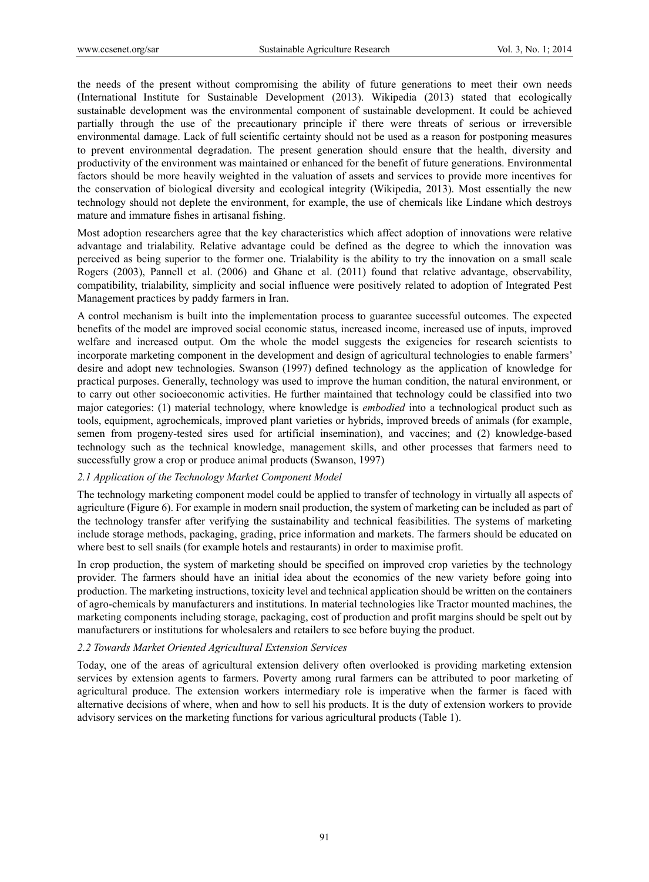the needs of the present without compromising the ability of future generations to meet their own needs (International Institute for Sustainable Development (2013). Wikipedia (2013) stated that ecologically sustainable development was the environmental component of sustainable development. It could be achieved partially through the use of the precautionary principle if there were threats of serious or irreversible environmental damage. Lack of full scientific certainty should not be used as a reason for postponing measures to prevent environmental degradation. The present generation should ensure that the health, diversity and productivity of the environment was maintained or enhanced for the benefit of future generations. Environmental factors should be more heavily weighted in the valuation of assets and services to provide more incentives for the conservation of biological diversity and ecological integrity (Wikipedia, 2013). Most essentially the new technology should not deplete the environment, for example, the use of chemicals like Lindane which destroys mature and immature fishes in artisanal fishing.

Most adoption researchers agree that the key characteristics which affect adoption of innovations were relative advantage and trialability. Relative advantage could be defined as the degree to which the innovation was perceived as being superior to the former one. Trialability is the ability to try the innovation on a small scale Rogers (2003), Pannell et al. (2006) and Ghane et al. (2011) found that relative advantage, observability, compatibility, trialability, simplicity and social influence were positively related to adoption of Integrated Pest Management practices by paddy farmers in Iran.

A control mechanism is built into the implementation process to guarantee successful outcomes. The expected benefits of the model are improved social economic status, increased income, increased use of inputs, improved welfare and increased output. Om the whole the model suggests the exigencies for research scientists to incorporate marketing component in the development and design of agricultural technologies to enable farmers' desire and adopt new technologies. Swanson (1997) defined technology as the application of knowledge for practical purposes. Generally, technology was used to improve the human condition, the natural environment, or to carry out other socioeconomic activities. He further maintained that technology could be classified into two major categories: (1) material technology, where knowledge is *embodied* into a technological product such as tools, equipment, agrochemicals, improved plant varieties or hybrids, improved breeds of animals (for example, semen from progeny-tested sires used for artificial insemination), and vaccines; and (2) knowledge-based technology such as the technical knowledge, management skills, and other processes that farmers need to successfully grow a crop or produce animal products (Swanson, 1997)

## *2.1 Application of the Technology Market Component Model*

The technology marketing component model could be applied to transfer of technology in virtually all aspects of agriculture (Figure 6). For example in modern snail production, the system of marketing can be included as part of the technology transfer after verifying the sustainability and technical feasibilities. The systems of marketing include storage methods, packaging, grading, price information and markets. The farmers should be educated on where best to sell snails (for example hotels and restaurants) in order to maximise profit.

In crop production, the system of marketing should be specified on improved crop varieties by the technology provider. The farmers should have an initial idea about the economics of the new variety before going into production. The marketing instructions, toxicity level and technical application should be written on the containers of agro-chemicals by manufacturers and institutions. In material technologies like Tractor mounted machines, the marketing components including storage, packaging, cost of production and profit margins should be spelt out by manufacturers or institutions for wholesalers and retailers to see before buying the product.

## *2.2 Towards Market Oriented Agricultural Extension Services*

Today, one of the areas of agricultural extension delivery often overlooked is providing marketing extension services by extension agents to farmers. Poverty among rural farmers can be attributed to poor marketing of agricultural produce. The extension workers intermediary role is imperative when the farmer is faced with alternative decisions of where, when and how to sell his products. It is the duty of extension workers to provide advisory services on the marketing functions for various agricultural products (Table 1).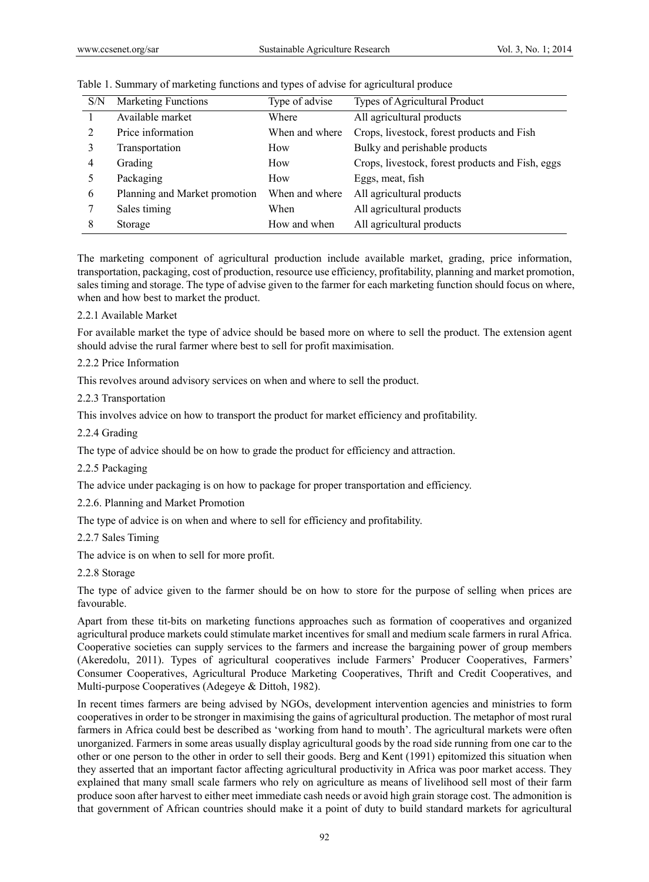| S/N | <b>Marketing Functions</b>    | Type of advise | Types of Agricultural Product                    |
|-----|-------------------------------|----------------|--------------------------------------------------|
|     | Available market              | Where          | All agricultural products                        |
|     | Price information             | When and where | Crops, livestock, forest products and Fish       |
|     | Transportation                | How            | Bulky and perishable products                    |
| 4   | <b>Grading</b>                | How            | Crops, livestock, forest products and Fish, eggs |
|     | Packaging                     | How            | Eggs, meat, fish                                 |
| 6   | Planning and Market promotion | When and where | All agricultural products                        |
|     | Sales timing                  | When           | All agricultural products                        |
| 8   | Storage                       | How and when   | All agricultural products                        |

## Table 1. Summary of marketing functions and types of advise for agricultural produce

The marketing component of agricultural production include available market, grading, price information, transportation, packaging, cost of production, resource use efficiency, profitability, planning and market promotion, sales timing and storage. The type of advise given to the farmer for each marketing function should focus on where, when and how best to market the product.

## 2.2.1 Available Market

For available market the type of advice should be based more on where to sell the product. The extension agent should advise the rural farmer where best to sell for profit maximisation.

## 2.2.2 Price Information

This revolves around advisory services on when and where to sell the product.

## 2.2.3 Transportation

This involves advice on how to transport the product for market efficiency and profitability.

## 2.2.4 Grading

The type of advice should be on how to grade the product for efficiency and attraction.

## 2.2.5 Packaging

The advice under packaging is on how to package for proper transportation and efficiency.

2.2.6. Planning and Market Promotion

The type of advice is on when and where to sell for efficiency and profitability.

## 2.2.7 Sales Timing

The advice is on when to sell for more profit.

## 2.2.8 Storage

The type of advice given to the farmer should be on how to store for the purpose of selling when prices are favourable.

Apart from these tit-bits on marketing functions approaches such as formation of cooperatives and organized agricultural produce markets could stimulate market incentives for small and medium scale farmers in rural Africa. Cooperative societies can supply services to the farmers and increase the bargaining power of group members (Akeredolu, 2011). Types of agricultural cooperatives include Farmers' Producer Cooperatives, Farmers' Consumer Cooperatives, Agricultural Produce Marketing Cooperatives, Thrift and Credit Cooperatives, and Multi-purpose Cooperatives (Adegeye & Dittoh, 1982).

In recent times farmers are being advised by NGOs, development intervention agencies and ministries to form cooperatives in order to be stronger in maximising the gains of agricultural production. The metaphor of most rural farmers in Africa could best be described as 'working from hand to mouth'. The agricultural markets were often unorganized. Farmers in some areas usually display agricultural goods by the road side running from one car to the other or one person to the other in order to sell their goods. Berg and Kent (1991) epitomized this situation when they asserted that an important factor affecting agricultural productivity in Africa was poor market access. They explained that many small scale farmers who rely on agriculture as means of livelihood sell most of their farm produce soon after harvest to either meet immediate cash needs or avoid high grain storage cost. The admonition is that government of African countries should make it a point of duty to build standard markets for agricultural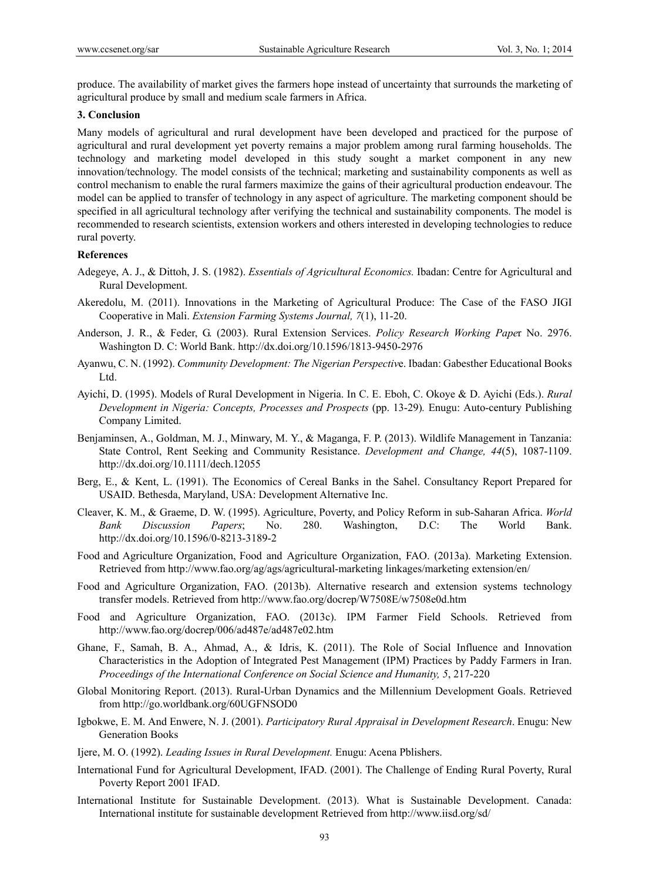produce. The availability of market gives the farmers hope instead of uncertainty that surrounds the marketing of agricultural produce by small and medium scale farmers in Africa.

#### **3. Conclusion**

Many models of agricultural and rural development have been developed and practiced for the purpose of agricultural and rural development yet poverty remains a major problem among rural farming households. The technology and marketing model developed in this study sought a market component in any new innovation/technology. The model consists of the technical; marketing and sustainability components as well as control mechanism to enable the rural farmers maximize the gains of their agricultural production endeavour. The model can be applied to transfer of technology in any aspect of agriculture. The marketing component should be specified in all agricultural technology after verifying the technical and sustainability components. The model is recommended to research scientists, extension workers and others interested in developing technologies to reduce rural poverty.

## **References**

- Adegeye, A. J., & Dittoh, J. S. (1982). *Essentials of Agricultural Economics.* Ibadan: Centre for Agricultural and Rural Development.
- Akeredolu, M. (2011). Innovations in the Marketing of Agricultural Produce: The Case of the FASO JIGI Cooperative in Mali. *Extension Farming Systems Journal, 7*(1), 11-20.
- Anderson, J. R., & Feder, G. (2003). Rural Extension Services. *Policy Research Working Pape*r No. 2976. Washington D. C: World Bank. http://dx.doi.org/10.1596/1813-9450-2976
- Ayanwu, C. N. (1992). *Community Development: The Nigerian Perspectiv*e. Ibadan: Gabesther Educational Books Ltd.
- Ayichi, D. (1995). Models of Rural Development in Nigeria. In C. E. Eboh, C. Okoye & D. Ayichi (Eds.). *Rural Development in Nigeria: Concepts, Processes and Prospects* (pp. 13-29)*.* Enugu: Auto-century Publishing Company Limited.
- Benjaminsen, A., Goldman, M. J., Minwary, M. Y., & Maganga, F. P. (2013). Wildlife Management in Tanzania: State Control, Rent Seeking and Community Resistance. *Development and Change, 44*(5), 1087-1109. http://dx.doi.org/10.1111/dech.12055
- Berg, E., & Kent, L. (1991). The Economics of Cereal Banks in the Sahel. Consultancy Report Prepared for USAID. Bethesda, Maryland, USA: Development Alternative Inc.
- Cleaver, K. M., & Graeme, D. W. (1995). Agriculture, Poverty, and Policy Reform in sub-Saharan Africa. *World Bank Discussion Papers*; No. 280. Washington, D.C: The World Bank. http://dx.doi.org/10.1596/0-8213-3189-2
- Food and Agriculture Organization, Food and Agriculture Organization, FAO. (2013a). Marketing Extension. Retrieved from http://www.fao.org/ag/ags/agricultural-marketing linkages/marketing extension/en/
- Food and Agriculture Organization, FAO. (2013b). Alternative research and extension systems technology transfer models. Retrieved from http://www.fao.org/docrep/W7508E/w7508e0d.htm
- Food and Agriculture Organization, FAO. (2013c). IPM Farmer Field Schools. Retrieved from http://www.fao.org/docrep/006/ad487e/ad487e02.htm
- Ghane, F., Samah, B. A., Ahmad, A., & Idris, K. (2011). The Role of Social Influence and Innovation Characteristics in the Adoption of Integrated Pest Management (IPM) Practices by Paddy Farmers in Iran. *Proceedings of the International Conference on Social Science and Humanity, 5*, 217-220
- Global Monitoring Report. (2013). Rural-Urban Dynamics and the Millennium Development Goals. Retrieved from http://go.worldbank.org/60UGFNSOD0
- Igbokwe, E. M. And Enwere, N. J. (2001). *Participatory Rural Appraisal in Development Research*. Enugu: New Generation Books
- Ijere, M. O. (1992). *Leading Issues in Rural Development.* Enugu: Acena Pblishers.
- International Fund for Agricultural Development, IFAD. (2001). The Challenge of Ending Rural Poverty, Rural Poverty Report 2001 IFAD.
- International Institute for Sustainable Development. (2013). What is Sustainable Development. Canada: International institute for sustainable development Retrieved from http://www.iisd.org/sd/